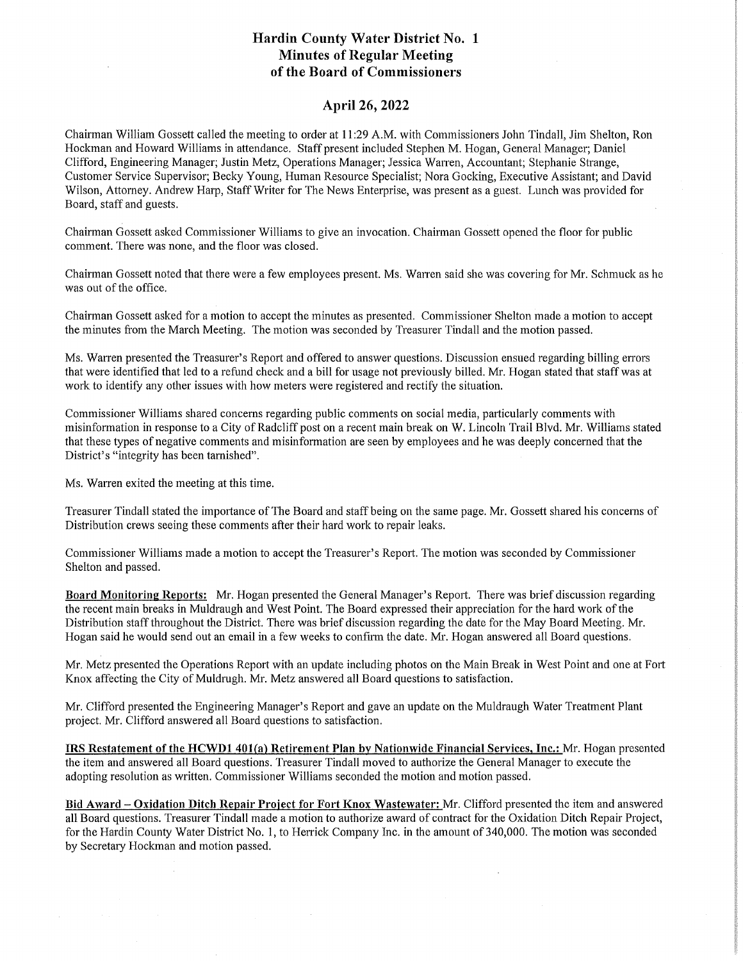## Hardin County Water District No. 1 Minutes of Regular Meeting of the Board of Commissioners

## April 26, 2022

Chairman William Gossett called the meeting to order at 11:29 A.M. with Commissioners John Tindall, Jim Shelton, Ron Hockman and Howard Williams in attendance. Staff present included Stephen M. Hogan, General Manager; Daniel Clifford, Engineering Manager; Justin Metz, Operations Manager; Jessica Warren, Accountant; Stephanie Strange, Customer Service Supervisor; Becky Young, Human Resource Specialist; Nora Gocking, Executive Assistant; and David Wilson, Attorney. Andrew Harp, Staff Writer for The News Enterprise, was present as a guest. Lunch was provided for Board, staff and guests.

Chairman Gossett asked Commissioner Williams to give an invocation. Chairman Gossett opened the floor for public comment. There was none, and the floor was closed.

Chairman Gossett noted that there were a few employees present. Ms. Warren said she was covering for Mr. Schmuck as he was out of the office.

Chairman Gossett asked for a motion to accept the minutes as presented. Commissioner Shelton made a motion to accept the minutes from the March Meeting. The motion was seconded by Treasurer Tindall and the motion passed.

Ms. Warren presented the Treasurer's Report and offered to answer questions. Discussion ensued regarding billing errors that were identified that led to a refund check and a bill for usage not previously billed. Mr. Hogan stated that staff was at work to identify any other issues with how meters were registered and rectify the situation.

Commissioner Williams shared concerns regarding public comments on social media, particularly comments with misinformation in response to a City of Radcliff post on a recent main break on W. Lincoln Trail Blvd. Mr. Williams stated that these types of negative comments and misinformation are seen by employees and he was deeply concerned that the District's "integrity has been tarnished".

Ms. Warren exited the meeting at this time.

Treasurer Tindall stated the importance of The Board and staffbeing on the same page. Mr. Gossett shared his concerns of Distribution crews seeing these comments after their hard work to repair leaks.

Commissioner Williams made a motion to accept the Treasurer's Report. The motion was seconded by Commissioner Shelton and passed.

Board Monitoring Reports: Mr. Hogan presented the General Manager's Report. There was brief discussion regarding the recent main breaks in Muldraugh and West Point. The Board expressed their appreciation for the hard work of the Distribution staff throughout the District. There was brief discussion regarding the date for the May Board Meeting. Mr. Hogan said he would send out an email in a few weeks to confirm the date. Mr. Hogan answered all Board questions.

Mr. Metz presented the Operations Report with an update including photos on the Main Break in West Point and one at Fort Knox affecting the City of Muldrugh. Mr. Metz answered all Board questions to satisfaction.

Mr. Clifford presented the Engineering Manager's Report and gave an update on the Muldraugh Water Treatment Plant project. Mr. Clifford answered all Board questions to satisfaction.

IRS Restatement of the HCWDl 401(a) Retirement Plan by Nationwide Financial Services, Inc.: Mr. Hogan presented the item and answered all Board questions. Treasurer Tindall moved to authorize the General Manager to execute the adopting resolution as written. Commissioner Williams seconded the motion and motion passed.

Bid Award- Oxidation Ditch Repair Project for Fort Knox Wastewater: Mr. Clifford presented the item and answered all Board questions. Treasurer Tindall made a motion to authorize award of contract for the Oxidation Ditch Repair Project, for the Hardin County Water District No. 1, to Herrick Company Inc. in the amount of 340,000. The motion was seconded by Secretary Hockman and motion passed.